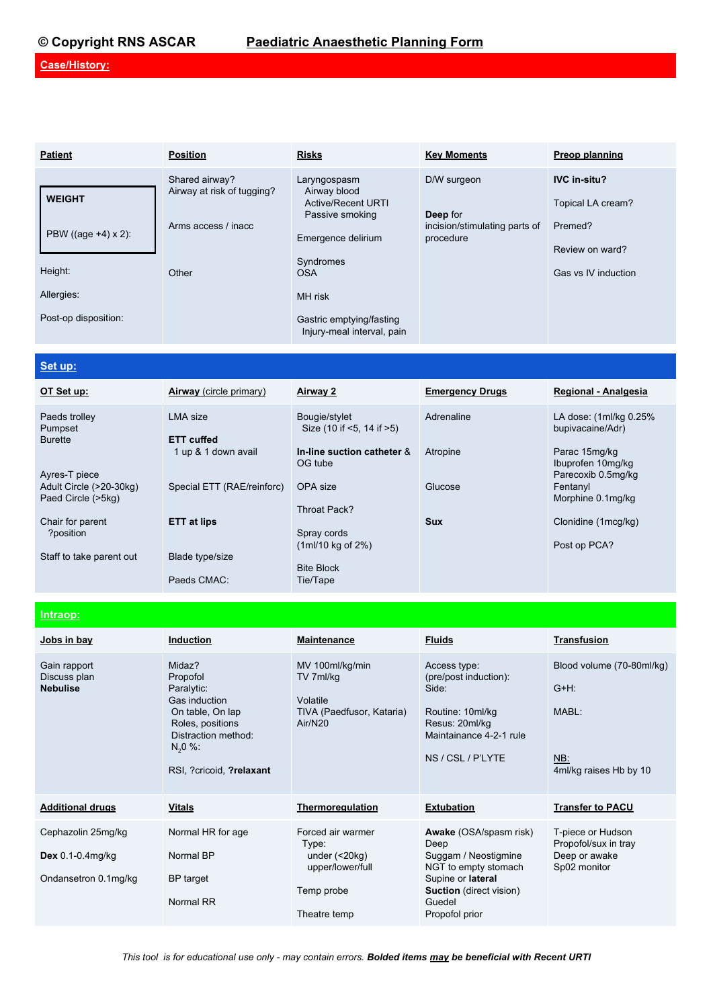## **© Copyright RNS ASCAR Paediatric Anaesthetic Planning Form**

## **Case/History:**

| <b>Patient</b>         | <b>Position</b>                              | <b>Risks</b>                                              | <b>Key Moments</b>                                     | Preop planning                           |
|------------------------|----------------------------------------------|-----------------------------------------------------------|--------------------------------------------------------|------------------------------------------|
| <b>WEIGHT</b>          | Shared airway?<br>Airway at risk of tugging? | Laryngospasm<br>Airway blood<br><b>Active/Recent URTI</b> | D/W surgeon                                            | <b>IVC in-situ?</b><br>Topical LA cream? |
| PBW ((age $+4$ ) x 2): | Arms access / inacc                          | Passive smoking<br>Emergence delirium                     | Deep for<br>incision/stimulating parts of<br>procedure | Premed?                                  |
| Height:                | Other                                        | Syndromes<br><b>OSA</b>                                   |                                                        | Review on ward?<br>Gas vs IV induction   |
| Allergies:             |                                              | MH risk                                                   |                                                        |                                          |
| Post-op disposition:   |                                              | Gastric emptying/fasting<br>Injury-meal interval, pain    |                                                        |                                          |

## **Set up:**

| OT Set up:                                    | <b>Airway</b> (circle primary) | <b>Airway 2</b>                             | <b>Emergency Drugs</b> | Regional - Analgesia                                     |
|-----------------------------------------------|--------------------------------|---------------------------------------------|------------------------|----------------------------------------------------------|
| Paeds trolley<br>Pumpset<br><b>Burette</b>    | LMA size<br><b>ETT cuffed</b>  | Bougie/stylet<br>Size (10 if <5, 14 if >5)  | Adrenaline             | LA dose: (1ml/kg 0.25%)<br>bupivacaine/Adr)              |
| Ayres-T piece                                 | 1 up & 1 down avail            | In-line suction catheter &<br>OG tube       | Atropine               | Parac 15mg/kg<br>Ibuprofen 10mg/kg<br>Parecoxib 0.5mg/kg |
| Adult Circle (>20-30kg)<br>Paed Circle (>5kg) | Special ETT (RAE/reinforc)     | OPA size<br>Throat Pack?                    | Glucose                | Fentanyl<br>Morphine 0.1mg/kg                            |
| Chair for parent<br>?position                 | <b>ETT at lips</b>             | Spray cords<br>$(1m/10 \text{ kg of } 2\%)$ | <b>Sux</b>             | Clonidine (1mcg/kg)<br>Post op PCA?                      |
| Staff to take parent out                      | Blade type/size<br>Paeds CMAC: | <b>Bite Block</b><br>Tie/Tape               |                        |                                                          |

#### **Intraop:**

| Jobs in bay                                                         | <b>Induction</b>                                                                                                                                            | <b>Maintenance</b>                                                                                   | <b>Fluids</b>                                                                                                                                                            | <b>Transfusion</b>                                                             |  |
|---------------------------------------------------------------------|-------------------------------------------------------------------------------------------------------------------------------------------------------------|------------------------------------------------------------------------------------------------------|--------------------------------------------------------------------------------------------------------------------------------------------------------------------------|--------------------------------------------------------------------------------|--|
| Gain rapport<br>Discuss plan<br><b>Nebulise</b>                     | Midaz?<br>Propofol<br>Paralytic:<br>Gas induction<br>On table, On lap<br>Roles, positions<br>Distraction method:<br>$N_{2}0$ %:<br>RSI, ?cricoid, ?relaxant | MV 100ml/kg/min<br>TV 7ml/kg<br>Volatile<br>TIVA (Paedfusor, Kataria)<br>Air/N20                     | Access type:<br>(pre/post induction):<br>Side:<br>Routine: 10ml/kg<br>Resus: 20ml/kg<br>Maintainance 4-2-1 rule<br>NS / CSL / P'LYTE                                     | Blood volume (70-80ml/kg)<br>$G+H$ :<br>MABL:<br>NB:<br>4ml/kg raises Hb by 10 |  |
| <b>Additional drugs</b>                                             | <b>Vitals</b>                                                                                                                                               | Thermoregulation                                                                                     | <b>Extubation</b>                                                                                                                                                        | <b>Transfer to PACU</b>                                                        |  |
| Cephazolin 25mg/kg<br>Dex $0.1 - 0.4$ mg/kg<br>Ondansetron 0.1mg/kg | Normal HR for age<br>Normal BP<br>BP target<br>Normal RR                                                                                                    | Forced air warmer<br>Type:<br>under $($ < 20 $kg)$<br>upper/lower/full<br>Temp probe<br>Theatre temp | <b>Awake</b> (OSA/spasm risk)<br>Deep<br>Suggam / Neostigmine<br>NGT to empty stomach<br>Supine or lateral<br><b>Suction</b> (direct vision)<br>Guedel<br>Propofol prior | T-piece or Hudson<br>Propofol/sux in tray<br>Deep or awake<br>Sp02 monitor     |  |